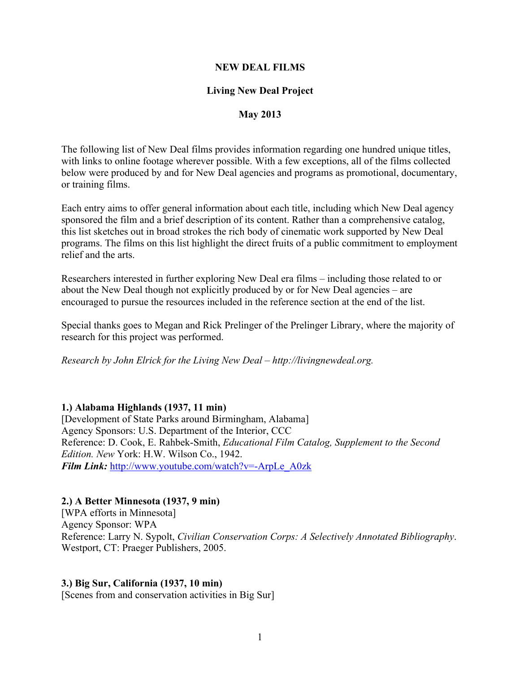#### **NEW DEAL FILMS**

#### **Living New Deal Project**

#### **May 2013**

The following list of New Deal films provides information regarding one hundred unique titles, with links to online footage wherever possible. With a few exceptions, all of the films collected below were produced by and for New Deal agencies and programs as promotional, documentary, or training films.

Each entry aims to offer general information about each title, including which New Deal agency sponsored the film and a brief description of its content. Rather than a comprehensive catalog, this list sketches out in broad strokes the rich body of cinematic work supported by New Deal programs. The films on this list highlight the direct fruits of a public commitment to employment relief and the arts.

Researchers interested in further exploring New Deal era films – including those related to or about the New Deal though not explicitly produced by or for New Deal agencies – are encouraged to pursue the resources included in the reference section at the end of the list.

Special thanks goes to Megan and Rick Prelinger of the Prelinger Library, where the majority of research for this project was performed.

*Research by John Elrick for the Living New Deal – http://livingnewdeal.org.*

#### **1.) Alabama Highlands (1937, 11 min)**

[Development of State Parks around Birmingham, Alabama] Agency Sponsors: U.S. Department of the Interior, CCC Reference: D. Cook, E. Rahbek-Smith, *Educational Film Catalog, Supplement to the Second Edition. New* York: H.W. Wilson Co., 1942. *Film Link:* http://www.youtube.com/watch?v=-ArpLe\_A0zk

#### **2.) A Better Minnesota (1937, 9 min)**

[WPA efforts in Minnesota] Agency Sponsor: WPA Reference: Larry N. Sypolt, *Civilian Conservation Corps: A Selectively Annotated Bibliography*. Westport, CT: Praeger Publishers, 2005.

#### **3.) Big Sur, California (1937, 10 min)**

[Scenes from and conservation activities in Big Sur]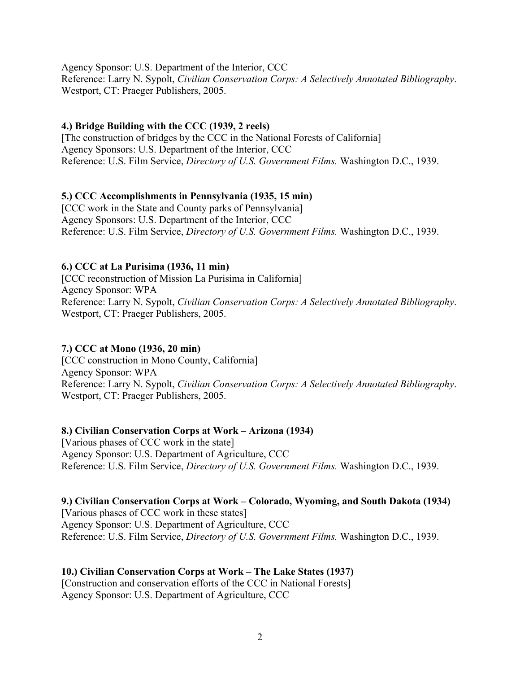Agency Sponsor: U.S. Department of the Interior, CCC Reference: Larry N. Sypolt, *Civilian Conservation Corps: A Selectively Annotated Bibliography*. Westport, CT: Praeger Publishers, 2005.

## **4.) Bridge Building with the CCC (1939, 2 reels)**

[The construction of bridges by the CCC in the National Forests of California] Agency Sponsors: U.S. Department of the Interior, CCC Reference: U.S. Film Service, *Directory of U.S. Government Films.* Washington D.C., 1939.

## **5.) CCC Accomplishments in Pennsylvania (1935, 15 min)**

[CCC work in the State and County parks of Pennsylvania] Agency Sponsors: U.S. Department of the Interior, CCC Reference: U.S. Film Service, *Directory of U.S. Government Films.* Washington D.C., 1939.

# **6.) CCC at La Purisima (1936, 11 min)**

[CCC reconstruction of Mission La Purisima in California] Agency Sponsor: WPA Reference: Larry N. Sypolt, *Civilian Conservation Corps: A Selectively Annotated Bibliography*. Westport, CT: Praeger Publishers, 2005.

# **7.) CCC at Mono (1936, 20 min)**

[CCC construction in Mono County, California] Agency Sponsor: WPA Reference: Larry N. Sypolt, *Civilian Conservation Corps: A Selectively Annotated Bibliography*. Westport, CT: Praeger Publishers, 2005.

# **8.) Civilian Conservation Corps at Work – Arizona (1934)**

[Various phases of CCC work in the state] Agency Sponsor: U.S. Department of Agriculture, CCC Reference: U.S. Film Service, *Directory of U.S. Government Films.* Washington D.C., 1939.

## **9.) Civilian Conservation Corps at Work – Colorado, Wyoming, and South Dakota (1934)** [Various phases of CCC work in these states]

Agency Sponsor: U.S. Department of Agriculture, CCC Reference: U.S. Film Service, *Directory of U.S. Government Films.* Washington D.C., 1939.

# **10.) Civilian Conservation Corps at Work – The Lake States (1937)**

[Construction and conservation efforts of the CCC in National Forests] Agency Sponsor: U.S. Department of Agriculture, CCC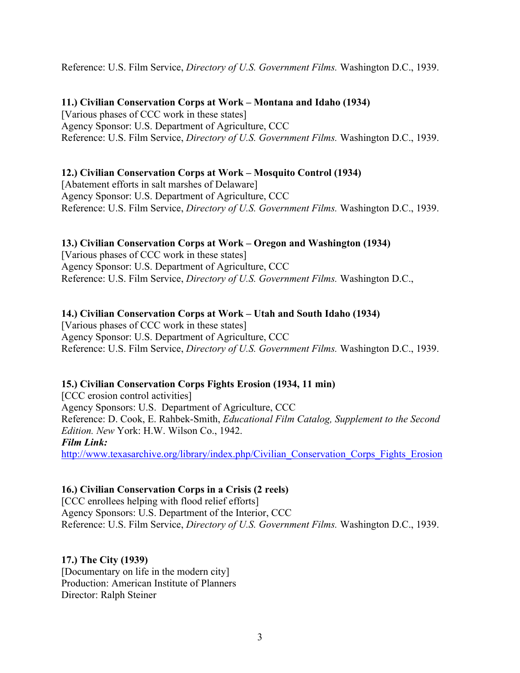Reference: U.S. Film Service, *Directory of U.S. Government Films.* Washington D.C., 1939.

### **11.) Civilian Conservation Corps at Work – Montana and Idaho (1934)**

[Various phases of CCC work in these states] Agency Sponsor: U.S. Department of Agriculture, CCC Reference: U.S. Film Service, *Directory of U.S. Government Films.* Washington D.C., 1939.

## **12.) Civilian Conservation Corps at Work – Mosquito Control (1934)**

[Abatement efforts in salt marshes of Delaware] Agency Sponsor: U.S. Department of Agriculture, CCC Reference: U.S. Film Service, *Directory of U.S. Government Films.* Washington D.C., 1939.

### **13.) Civilian Conservation Corps at Work – Oregon and Washington (1934)**

[Various phases of CCC work in these states] Agency Sponsor: U.S. Department of Agriculture, CCC Reference: U.S. Film Service, *Directory of U.S. Government Films.* Washington D.C.,

### **14.) Civilian Conservation Corps at Work – Utah and South Idaho (1934)**

[Various phases of CCC work in these states] Agency Sponsor: U.S. Department of Agriculture, CCC Reference: U.S. Film Service, *Directory of U.S. Government Films.* Washington D.C., 1939.

#### **15.) Civilian Conservation Corps Fights Erosion (1934, 11 min)**

[CCC erosion control activities] Agency Sponsors: U.S. Department of Agriculture, CCC Reference: D. Cook, E. Rahbek-Smith, *Educational Film Catalog, Supplement to the Second Edition. New* York: H.W. Wilson Co., 1942. *Film Link:* http://www.texasarchive.org/library/index.php/Civilian\_Conservation\_Corps\_Fights\_Erosion

## **16.) Civilian Conservation Corps in a Crisis (2 reels)**

[CCC enrollees helping with flood relief efforts] Agency Sponsors: U.S. Department of the Interior, CCC Reference: U.S. Film Service, *Directory of U.S. Government Films.* Washington D.C., 1939.

#### **17.) The City (1939)**

[Documentary on life in the modern city] Production: American Institute of Planners Director: Ralph Steiner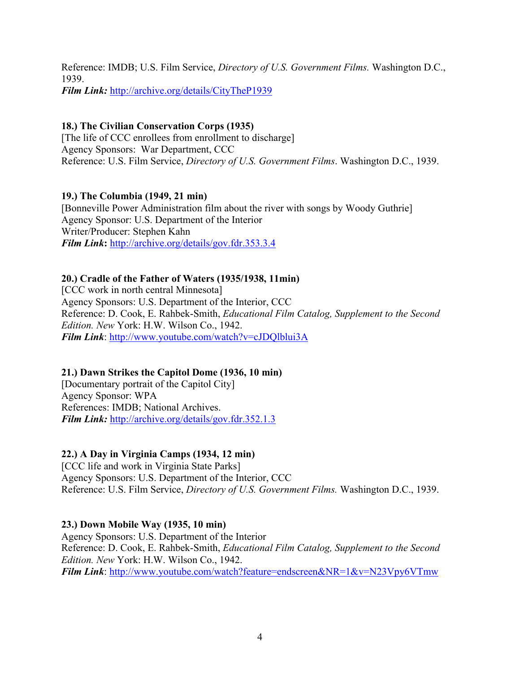Reference: IMDB; U.S. Film Service, *Directory of U.S. Government Films.* Washington D.C., 1939. *Film Link:* http://archive.org/details/CityTheP1939

# **18.) The Civilian Conservation Corps (1935)**

[The life of CCC enrollees from enrollment to discharge] Agency Sponsors: War Department, CCC Reference: U.S. Film Service, *Directory of U.S. Government Films*. Washington D.C., 1939.

## **19.) The Columbia (1949, 21 min)**

[Bonneville Power Administration film about the river with songs by Woody Guthrie] Agency Sponsor: U.S. Department of the Interior Writer/Producer: Stephen Kahn *Film Link***:** http://archive.org/details/gov.fdr.353.3.4

### **20.) Cradle of the Father of Waters (1935/1938, 11min)**

[CCC work in north central Minnesota] Agency Sponsors: U.S. Department of the Interior, CCC Reference: D. Cook, E. Rahbek-Smith, *Educational Film Catalog, Supplement to the Second Edition. New* York: H.W. Wilson Co., 1942. *Film Link*: http://www.youtube.com/watch?v=cJDQlblui3A

#### **21.) Dawn Strikes the Capitol Dome (1936, 10 min)**

[Documentary portrait of the Capitol City] Agency Sponsor: WPA References: IMDB; National Archives. *Film Link:* http://archive.org/details/gov.fdr.352.1.3

## **22.) A Day in Virginia Camps (1934, 12 min)**

[CCC life and work in Virginia State Parks] Agency Sponsors: U.S. Department of the Interior, CCC Reference: U.S. Film Service, *Directory of U.S. Government Films.* Washington D.C., 1939.

#### **23.) Down Mobile Way (1935, 10 min)**

Agency Sponsors: U.S. Department of the Interior Reference: D. Cook, E. Rahbek-Smith, *Educational Film Catalog, Supplement to the Second Edition. New* York: H.W. Wilson Co., 1942. *Film Link*: http://www.youtube.com/watch?feature=endscreen&NR=1&v=N23Vpy6VTmw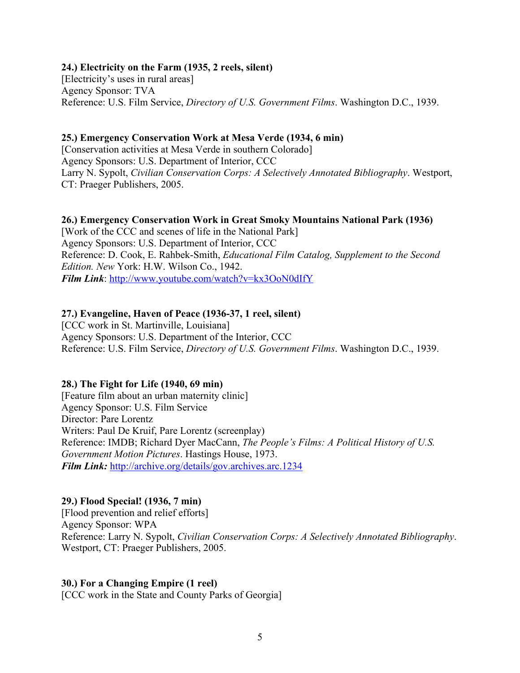#### **24.) Electricity on the Farm (1935, 2 reels, silent)**

[Electricity's uses in rural areas] Agency Sponsor: TVA Reference: U.S. Film Service, *Directory of U.S. Government Films*. Washington D.C., 1939.

#### **25.) Emergency Conservation Work at Mesa Verde (1934, 6 min)**

[Conservation activities at Mesa Verde in southern Colorado] Agency Sponsors: U.S. Department of Interior, CCC Larry N. Sypolt, *Civilian Conservation Corps: A Selectively Annotated Bibliography*. Westport, CT: Praeger Publishers, 2005.

#### **26.) Emergency Conservation Work in Great Smoky Mountains National Park (1936)**

[Work of the CCC and scenes of life in the National Park] Agency Sponsors: U.S. Department of Interior, CCC Reference: D. Cook, E. Rahbek-Smith, *Educational Film Catalog, Supplement to the Second Edition. New* York: H.W. Wilson Co., 1942. *Film Link*: http://www.youtube.com/watch?v=kx3OoN0dIfY

#### **27.) Evangeline, Haven of Peace (1936-37, 1 reel, silent)**

[CCC work in St. Martinville, Louisiana] Agency Sponsors: U.S. Department of the Interior, CCC Reference: U.S. Film Service, *Directory of U.S. Government Films*. Washington D.C., 1939.

#### **28.) The Fight for Life (1940, 69 min)**

[Feature film about an urban maternity clinic] Agency Sponsor: U.S. Film Service Director: Pare Lorentz Writers: Paul De Kruif, Pare Lorentz (screenplay) Reference: IMDB; Richard Dyer MacCann, *The People's Films: A Political History of U.S. Government Motion Pictures*. Hastings House, 1973. *Film Link:* http://archive.org/details/gov.archives.arc.1234

#### **29.) Flood Special! (1936, 7 min)**

[Flood prevention and relief efforts] Agency Sponsor: WPA Reference: Larry N. Sypolt, *Civilian Conservation Corps: A Selectively Annotated Bibliography*. Westport, CT: Praeger Publishers, 2005.

#### **30.) For a Changing Empire (1 reel)**

[CCC work in the State and County Parks of Georgia]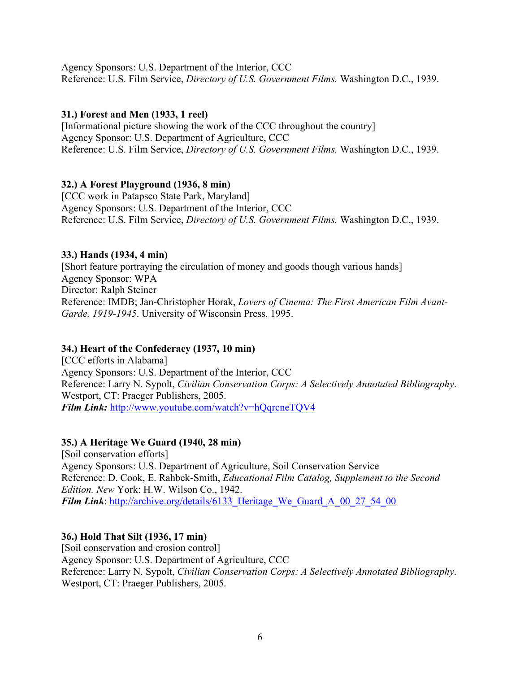Agency Sponsors: U.S. Department of the Interior, CCC Reference: U.S. Film Service, *Directory of U.S. Government Films.* Washington D.C., 1939.

### **31.) Forest and Men (1933, 1 reel)**

[Informational picture showing the work of the CCC throughout the country] Agency Sponsor: U.S. Department of Agriculture, CCC Reference: U.S. Film Service, *Directory of U.S. Government Films.* Washington D.C., 1939.

### **32.) A Forest Playground (1936, 8 min)**

[CCC work in Patapsco State Park, Maryland] Agency Sponsors: U.S. Department of the Interior, CCC Reference: U.S. Film Service, *Directory of U.S. Government Films.* Washington D.C., 1939.

### **33.) Hands (1934, 4 min)**

[Short feature portraying the circulation of money and goods though various hands] Agency Sponsor: WPA Director: Ralph Steiner Reference: IMDB; Jan-Christopher Horak, *Lovers of Cinema: The First American Film Avant-Garde, 1919-1945*. University of Wisconsin Press, 1995.

## **34.) Heart of the Confederacy (1937, 10 min)**

[CCC efforts in Alabama] Agency Sponsors: U.S. Department of the Interior, CCC Reference: Larry N. Sypolt, *Civilian Conservation Corps: A Selectively Annotated Bibliography*. Westport, CT: Praeger Publishers, 2005. *Film Link:* http://www.youtube.com/watch?v=hQqrcneTQV4

#### **35.) A Heritage We Guard (1940, 28 min)**

[Soil conservation efforts] Agency Sponsors: U.S. Department of Agriculture, Soil Conservation Service Reference: D. Cook, E. Rahbek-Smith, *Educational Film Catalog, Supplement to the Second Edition. New* York: H.W. Wilson Co., 1942. *Film Link*: http://archive.org/details/6133 Heritage We Guard A 00 27 54 00

## **36.) Hold That Silt (1936, 17 min)**

[Soil conservation and erosion control] Agency Sponsor: U.S. Department of Agriculture, CCC Reference: Larry N. Sypolt, *Civilian Conservation Corps: A Selectively Annotated Bibliography*. Westport, CT: Praeger Publishers, 2005.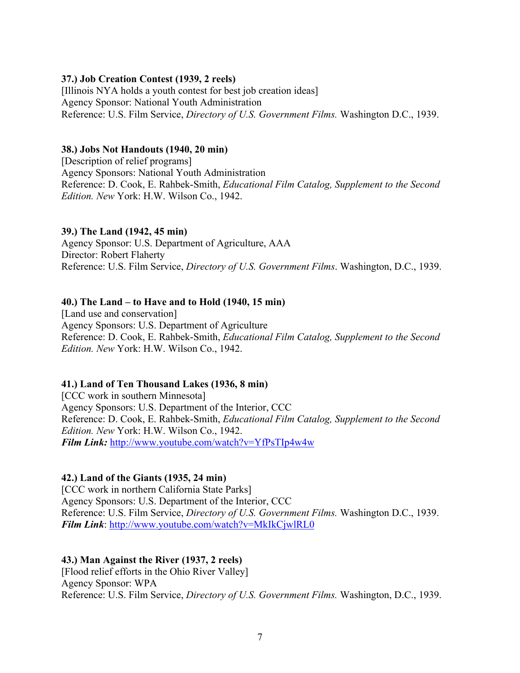### **37.) Job Creation Contest (1939, 2 reels)**

[Illinois NYA holds a youth contest for best job creation ideas] Agency Sponsor: National Youth Administration Reference: U.S. Film Service, *Directory of U.S. Government Films.* Washington D.C., 1939.

#### **38.) Jobs Not Handouts (1940, 20 min)**

[Description of relief programs] Agency Sponsors: National Youth Administration Reference: D. Cook, E. Rahbek-Smith, *Educational Film Catalog, Supplement to the Second Edition. New* York: H.W. Wilson Co., 1942.

#### **39.) The Land (1942, 45 min)**

Agency Sponsor: U.S. Department of Agriculture, AAA Director: Robert Flaherty Reference: U.S. Film Service, *Directory of U.S. Government Films*. Washington, D.C., 1939.

### **40.) The Land – to Have and to Hold (1940, 15 min)**

[Land use and conservation] Agency Sponsors: U.S. Department of Agriculture Reference: D. Cook, E. Rahbek-Smith, *Educational Film Catalog, Supplement to the Second Edition. New* York: H.W. Wilson Co., 1942.

#### **41.) Land of Ten Thousand Lakes (1936, 8 min)**

[CCC work in southern Minnesota] Agency Sponsors: U.S. Department of the Interior, CCC Reference: D. Cook, E. Rahbek-Smith, *Educational Film Catalog, Supplement to the Second Edition. New* York: H.W. Wilson Co., 1942. *Film Link:* http://www.youtube.com/watch?v=YfPsTIp4w4w

## **42.) Land of the Giants (1935, 24 min)**

[CCC work in northern California State Parks] Agency Sponsors: U.S. Department of the Interior, CCC Reference: U.S. Film Service, *Directory of U.S. Government Films.* Washington D.C., 1939. *Film Link*: http://www.youtube.com/watch?v=MkIkCjwlRL0

## **43.) Man Against the River (1937, 2 reels)**

[Flood relief efforts in the Ohio River Valley] Agency Sponsor: WPA Reference: U.S. Film Service, *Directory of U.S. Government Films.* Washington, D.C., 1939.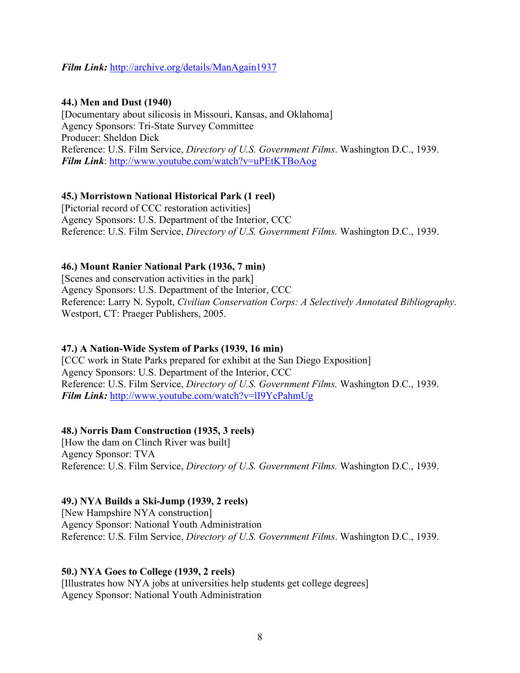### *Film Link:* http://archive.org/details/ManAgain1937

#### **44.) Men and Dust (1940)**

[Documentary about silicosis in Missouri, Kansas, and Oklahoma] Agency Sponsors: Tri-State Survey Committee Producer: Sheldon Dick Reference: U.S. Film Service, *Directory of U.S. Government Films*. Washington D.C., 1939. *Film Link*: http://www.youtube.com/watch?v=uPEtKTBoAog

## **45.) Morristown National Historical Park (1 reel)**

[Pictorial record of CCC restoration activities] Agency Sponsors: U.S. Department of the Interior, CCC Reference: U.S. Film Service, *Directory of U.S. Government Films.* Washington D.C., 1939.

### **46.) Mount Ranier National Park (1936, 7 min)**

[Scenes and conservation activities in the park] Agency Sponsors: U.S. Department of the Interior, CCC Reference: Larry N. Sypolt, *Civilian Conservation Corps: A Selectively Annotated Bibliography*. Westport, CT: Praeger Publishers, 2005.

## **47.) A Nation-Wide System of Parks (1939, 16 min)**

[CCC work in State Parks prepared for exhibit at the San Diego Exposition] Agency Sponsors: U.S. Department of the Interior, CCC Reference: U.S. Film Service, *Directory of U.S. Government Films.* Washington D.C., 1939. *Film Link:* http://www.youtube.com/watch?v=lI9YcPahmUg

## **48.) Norris Dam Construction (1935, 3 reels)**

[How the dam on Clinch River was built] Agency Sponsor: TVA Reference: U.S. Film Service, *Directory of U.S. Government Films.* Washington D.C., 1939.

#### **49.) NYA Builds a Ski-Jump (1939, 2 reels)**

[New Hampshire NYA construction] Agency Sponsor: National Youth Administration Reference: U.S. Film Service, *Directory of U.S. Government Films*. Washington D.C., 1939.

#### **50.) NYA Goes to College (1939, 2 reels)**

[Illustrates how NYA jobs at universities help students get college degrees] Agency Sponsor: National Youth Administration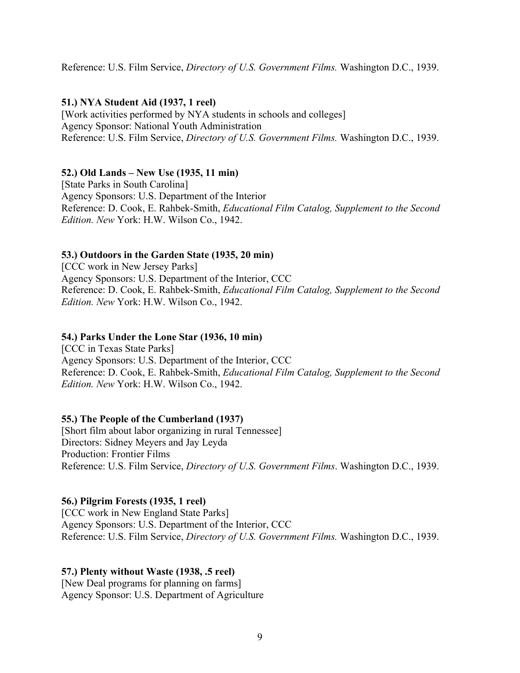Reference: U.S. Film Service, *Directory of U.S. Government Films.* Washington D.C., 1939.

### **51.) NYA Student Aid (1937, 1 reel)**

[Work activities performed by NYA students in schools and colleges] Agency Sponsor: National Youth Administration Reference: U.S. Film Service, *Directory of U.S. Government Films.* Washington D.C., 1939.

## **52.) Old Lands – New Use (1935, 11 min)**

[State Parks in South Carolina] Agency Sponsors: U.S. Department of the Interior Reference: D. Cook, E. Rahbek-Smith, *Educational Film Catalog, Supplement to the Second Edition. New* York: H.W. Wilson Co., 1942.

### **53.) Outdoors in the Garden State (1935, 20 min)**

[CCC work in New Jersey Parks] Agency Sponsors: U.S. Department of the Interior, CCC Reference: D. Cook, E. Rahbek-Smith, *Educational Film Catalog, Supplement to the Second Edition. New* York: H.W. Wilson Co., 1942.

#### **54.) Parks Under the Lone Star (1936, 10 min)**

[CCC in Texas State Parks] Agency Sponsors: U.S. Department of the Interior, CCC Reference: D. Cook, E. Rahbek-Smith, *Educational Film Catalog, Supplement to the Second Edition. New* York: H.W. Wilson Co., 1942.

## **55.) The People of the Cumberland (1937)**

[Short film about labor organizing in rural Tennessee] Directors: Sidney Meyers and Jay Leyda Production: Frontier Films Reference: U.S. Film Service, *Directory of U.S. Government Films*. Washington D.C., 1939.

#### **56.) Pilgrim Forests (1935, 1 reel)**

[CCC work in New England State Parks] Agency Sponsors: U.S. Department of the Interior, CCC Reference: U.S. Film Service, *Directory of U.S. Government Films.* Washington D.C., 1939.

#### **57.) Plenty without Waste (1938, .5 reel)**

[New Deal programs for planning on farms] Agency Sponsor: U.S. Department of Agriculture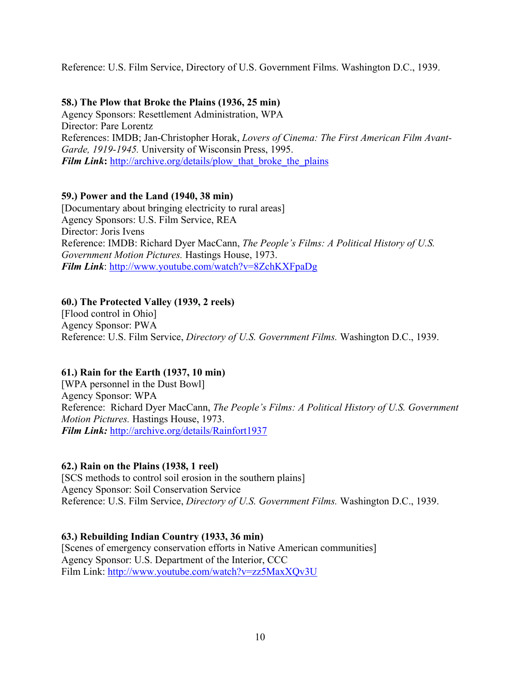### Reference: U.S. Film Service, Directory of U.S. Government Films. Washington D.C., 1939.

### **58.) The Plow that Broke the Plains (1936, 25 min)**

Agency Sponsors: Resettlement Administration, WPA Director: Pare Lorentz References: IMDB; Jan-Christopher Horak, *Lovers of Cinema: The First American Film Avant-Garde, 1919-1945.* University of Wisconsin Press, 1995. *Film Link*: http://archive.org/details/plow\_that\_broke\_the\_plains

### **59.) Power and the Land (1940, 38 min)**

[Documentary about bringing electricity to rural areas] Agency Sponsors: U.S. Film Service, REA Director: Joris Ivens Reference: IMDB: Richard Dyer MacCann, *The People's Films: A Political History of U.S. Government Motion Pictures.* Hastings House, 1973. *Film Link*: http://www.youtube.com/watch?v=8ZchKXFpaDg

### **60.) The Protected Valley (1939, 2 reels)**

[Flood control in Ohio] Agency Sponsor: PWA Reference: U.S. Film Service, *Directory of U.S. Government Films.* Washington D.C., 1939.

## **61.) Rain for the Earth (1937, 10 min)**

[WPA personnel in the Dust Bowl] Agency Sponsor: WPA Reference: Richard Dyer MacCann, *The People's Films: A Political History of U.S. Government Motion Pictures.* Hastings House, 1973. *Film Link:* http://archive.org/details/Rainfort1937

## **62.) Rain on the Plains (1938, 1 reel)**

[SCS methods to control soil erosion in the southern plains] Agency Sponsor: Soil Conservation Service Reference: U.S. Film Service, *Directory of U.S. Government Films.* Washington D.C., 1939.

#### **63.) Rebuilding Indian Country (1933, 36 min)**

[Scenes of emergency conservation efforts in Native American communities] Agency Sponsor: U.S. Department of the Interior, CCC Film Link: http://www.youtube.com/watch?v=zz5MaxXQv3U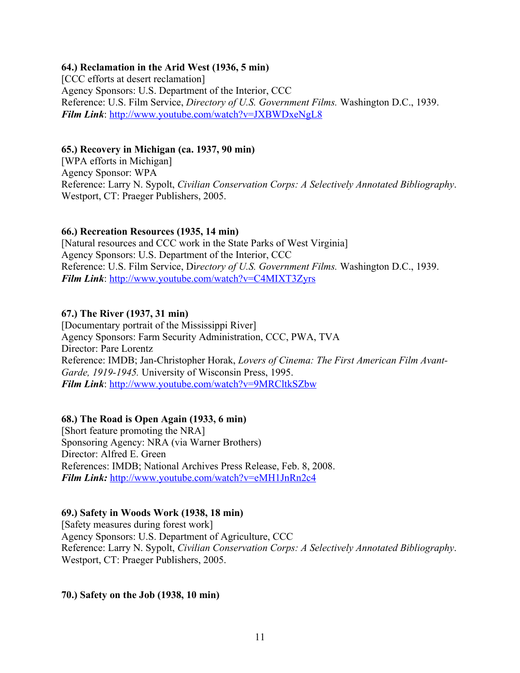### **64.) Reclamation in the Arid West (1936, 5 min)**

[CCC efforts at desert reclamation] Agency Sponsors: U.S. Department of the Interior, CCC Reference: U.S. Film Service, *Directory of U.S. Government Films.* Washington D.C., 1939. *Film Link*: http://www.youtube.com/watch?v=JXBWDxeNgL8

#### **65.) Recovery in Michigan (ca. 1937, 90 min)**

[WPA efforts in Michigan] Agency Sponsor: WPA Reference: Larry N. Sypolt, *Civilian Conservation Corps: A Selectively Annotated Bibliography*. Westport, CT: Praeger Publishers, 2005.

### **66.) Recreation Resources (1935, 14 min)**

[Natural resources and CCC work in the State Parks of West Virginia] Agency Sponsors: U.S. Department of the Interior, CCC Reference: U.S. Film Service, Di*rectory of U.S. Government Films.* Washington D.C., 1939. *Film Link*: http://www.youtube.com/watch?v=C4MIXT3Zyrs

### **67.) The River (1937, 31 min)**

[Documentary portrait of the Mississippi River] Agency Sponsors: Farm Security Administration, CCC, PWA, TVA Director: Pare Lorentz Reference: IMDB; Jan-Christopher Horak, *Lovers of Cinema: The First American Film Avant-Garde, 1919-1945.* University of Wisconsin Press, 1995. *Film Link*: http://www.youtube.com/watch?v=9MRCltkSZbw

## **68.) The Road is Open Again (1933, 6 min)**

[Short feature promoting the NRA] Sponsoring Agency: NRA (via Warner Brothers) Director: Alfred E. Green References: IMDB; National Archives Press Release, Feb. 8, 2008. *Film Link:* http://www.youtube.com/watch?v=eMH1JnRn2c4

## **69.) Safety in Woods Work (1938, 18 min)**

[Safety measures during forest work] Agency Sponsors: U.S. Department of Agriculture, CCC Reference: Larry N. Sypolt, *Civilian Conservation Corps: A Selectively Annotated Bibliography*. Westport, CT: Praeger Publishers, 2005.

#### **70.) Safety on the Job (1938, 10 min)**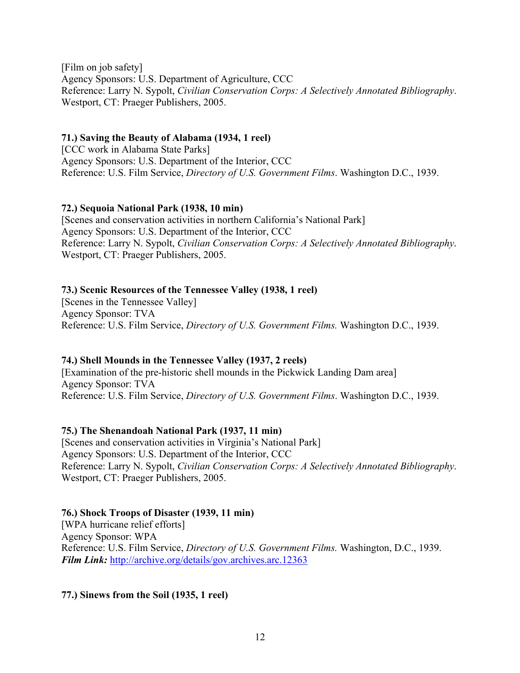[Film on job safety] Agency Sponsors: U.S. Department of Agriculture, CCC Reference: Larry N. Sypolt, *Civilian Conservation Corps: A Selectively Annotated Bibliography*. Westport, CT: Praeger Publishers, 2005.

### **71.) Saving the Beauty of Alabama (1934, 1 reel)**

[CCC work in Alabama State Parks] Agency Sponsors: U.S. Department of the Interior, CCC Reference: U.S. Film Service, *Directory of U.S. Government Films*. Washington D.C., 1939.

## **72.) Sequoia National Park (1938, 10 min)**

[Scenes and conservation activities in northern California's National Park] Agency Sponsors: U.S. Department of the Interior, CCC Reference: Larry N. Sypolt, *Civilian Conservation Corps: A Selectively Annotated Bibliography*. Westport, CT: Praeger Publishers, 2005.

## **73.) Scenic Resources of the Tennessee Valley (1938, 1 reel)**

[Scenes in the Tennessee Valley] Agency Sponsor: TVA Reference: U.S. Film Service, *Directory of U.S. Government Films.* Washington D.C., 1939.

## **74.) Shell Mounds in the Tennessee Valley (1937, 2 reels)**

[Examination of the pre-historic shell mounds in the Pickwick Landing Dam area] Agency Sponsor: TVA Reference: U.S. Film Service, *Directory of U.S. Government Films*. Washington D.C., 1939.

## **75.) The Shenandoah National Park (1937, 11 min)**

[Scenes and conservation activities in Virginia's National Park] Agency Sponsors: U.S. Department of the Interior, CCC Reference: Larry N. Sypolt, *Civilian Conservation Corps: A Selectively Annotated Bibliography*. Westport, CT: Praeger Publishers, 2005.

## **76.) Shock Troops of Disaster (1939, 11 min)**

[WPA hurricane relief efforts] Agency Sponsor: WPA Reference: U.S. Film Service, *Directory of U.S. Government Films.* Washington, D.C., 1939. *Film Link:* http://archive.org/details/gov.archives.arc.12363

#### **77.) Sinews from the Soil (1935, 1 reel)**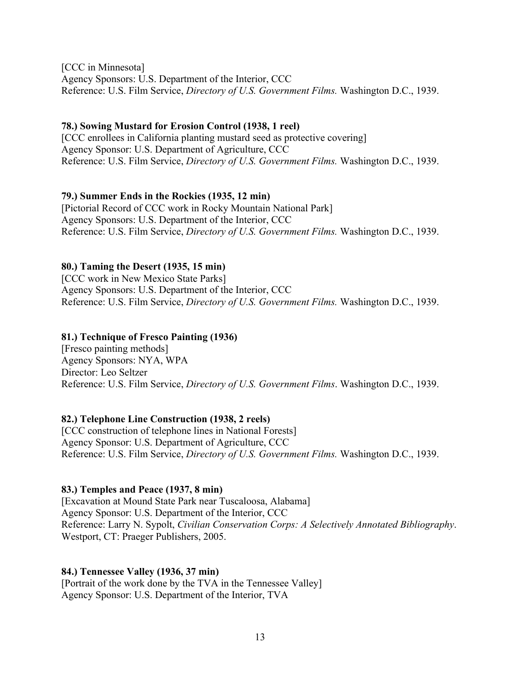[CCC in Minnesota] Agency Sponsors: U.S. Department of the Interior, CCC Reference: U.S. Film Service, *Directory of U.S. Government Films.* Washington D.C., 1939.

#### **78.) Sowing Mustard for Erosion Control (1938, 1 reel)**

[CCC enrollees in California planting mustard seed as protective covering] Agency Sponsor: U.S. Department of Agriculture, CCC Reference: U.S. Film Service, *Directory of U.S. Government Films.* Washington D.C., 1939.

### **79.) Summer Ends in the Rockies (1935, 12 min)**

[Pictorial Record of CCC work in Rocky Mountain National Park] Agency Sponsors: U.S. Department of the Interior, CCC Reference: U.S. Film Service, *Directory of U.S. Government Films.* Washington D.C., 1939.

## **80.) Taming the Desert (1935, 15 min)**

[CCC work in New Mexico State Parks] Agency Sponsors: U.S. Department of the Interior, CCC Reference: U.S. Film Service, *Directory of U.S. Government Films.* Washington D.C., 1939.

## **81.) Technique of Fresco Painting (1936)**

[Fresco painting methods] Agency Sponsors: NYA, WPA Director: Leo Seltzer Reference: U.S. Film Service, *Directory of U.S. Government Films*. Washington D.C., 1939.

## **82.) Telephone Line Construction (1938, 2 reels)**

[CCC construction of telephone lines in National Forests] Agency Sponsor: U.S. Department of Agriculture, CCC Reference: U.S. Film Service, *Directory of U.S. Government Films.* Washington D.C., 1939.

## **83.) Temples and Peace (1937, 8 min)**

[Excavation at Mound State Park near Tuscaloosa, Alabama] Agency Sponsor: U.S. Department of the Interior, CCC Reference: Larry N. Sypolt, *Civilian Conservation Corps: A Selectively Annotated Bibliography*. Westport, CT: Praeger Publishers, 2005.

## **84.) Tennessee Valley (1936, 37 min)**

[Portrait of the work done by the TVA in the Tennessee Valley] Agency Sponsor: U.S. Department of the Interior, TVA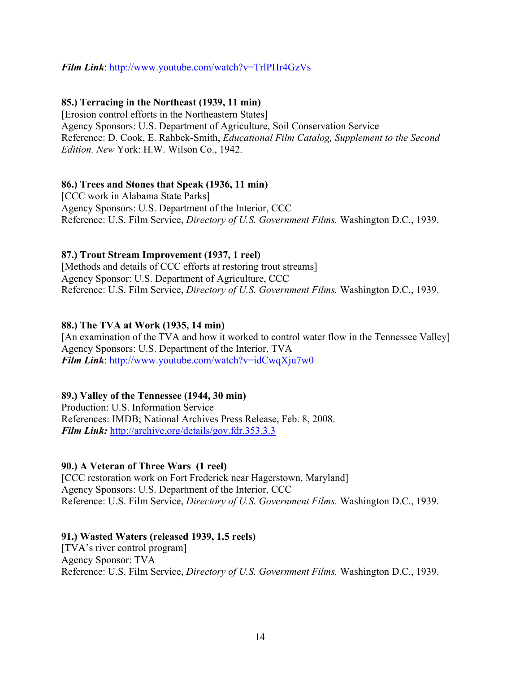## *Film Link*: http://www.youtube.com/watch?v=TrlPHr4GzVs

## **85.) Terracing in the Northeast (1939, 11 min)**

[Erosion control efforts in the Northeastern States] Agency Sponsors: U.S. Department of Agriculture, Soil Conservation Service Reference: D. Cook, E. Rahbek-Smith, *Educational Film Catalog, Supplement to the Second Edition. New* York: H.W. Wilson Co., 1942.

## **86.) Trees and Stones that Speak (1936, 11 min)**

[CCC work in Alabama State Parks] Agency Sponsors: U.S. Department of the Interior, CCC Reference: U.S. Film Service, *Directory of U.S. Government Films.* Washington D.C., 1939.

## **87.) Trout Stream Improvement (1937, 1 reel)**

[Methods and details of CCC efforts at restoring trout streams] Agency Sponsor: U.S. Department of Agriculture, CCC Reference: U.S. Film Service, *Directory of U.S. Government Films.* Washington D.C., 1939.

## **88.) The TVA at Work (1935, 14 min)**

[An examination of the TVA and how it worked to control water flow in the Tennessee Valley] Agency Sponsors: U.S. Department of the Interior, TVA *Film Link*: http://www.youtube.com/watch?v=idCwqXju7w0

## **89.) Valley of the Tennessee (1944, 30 min)**

Production: U.S. Information Service References: IMDB; National Archives Press Release, Feb. 8, 2008. *Film Link:* http://archive.org/details/gov.fdr.353.3.3

# **90.) A Veteran of Three Wars (1 reel)**

[CCC restoration work on Fort Frederick near Hagerstown, Maryland] Agency Sponsors: U.S. Department of the Interior, CCC Reference: U.S. Film Service, *Directory of U.S. Government Films.* Washington D.C., 1939.

## **91.) Wasted Waters (released 1939, 1.5 reels)**

[TVA's river control program] Agency Sponsor: TVA Reference: U.S. Film Service, *Directory of U.S. Government Films.* Washington D.C., 1939.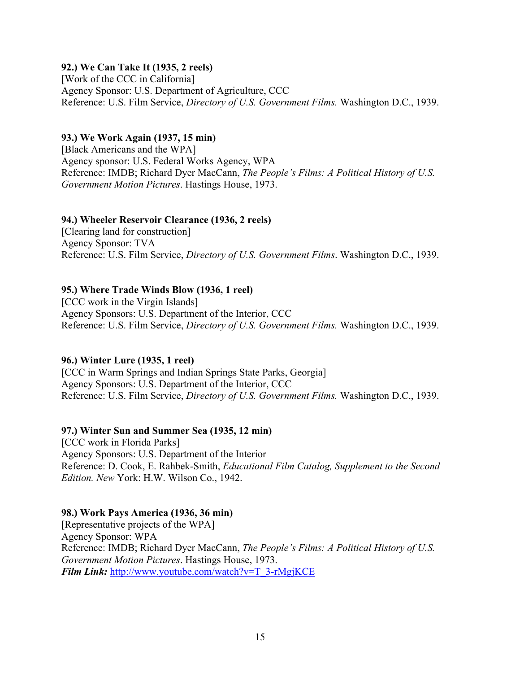### **92.) We Can Take It (1935, 2 reels)**

[Work of the CCC in California] Agency Sponsor: U.S. Department of Agriculture, CCC Reference: U.S. Film Service, *Directory of U.S. Government Films.* Washington D.C., 1939.

#### **93.) We Work Again (1937, 15 min)**

[Black Americans and the WPA] Agency sponsor: U.S. Federal Works Agency, WPA Reference: IMDB; Richard Dyer MacCann, *The People's Films: A Political History of U.S. Government Motion Pictures*. Hastings House, 1973.

#### **94.) Wheeler Reservoir Clearance (1936, 2 reels)**

[Clearing land for construction] Agency Sponsor: TVA Reference: U.S. Film Service, *Directory of U.S. Government Films*. Washington D.C., 1939.

## **95.) Where Trade Winds Blow (1936, 1 reel)**

[CCC work in the Virgin Islands] Agency Sponsors: U.S. Department of the Interior, CCC Reference: U.S. Film Service, *Directory of U.S. Government Films.* Washington D.C., 1939.

## **96.) Winter Lure (1935, 1 reel)**

[CCC in Warm Springs and Indian Springs State Parks, Georgia] Agency Sponsors: U.S. Department of the Interior, CCC Reference: U.S. Film Service, *Directory of U.S. Government Films.* Washington D.C., 1939.

#### **97.) Winter Sun and Summer Sea (1935, 12 min)**

[CCC work in Florida Parks] Agency Sponsors: U.S. Department of the Interior Reference: D. Cook, E. Rahbek-Smith, *Educational Film Catalog, Supplement to the Second Edition. New* York: H.W. Wilson Co., 1942.

## **98.) Work Pays America (1936, 36 min)**

[Representative projects of the WPA] Agency Sponsor: WPA Reference: IMDB; Richard Dyer MacCann, *The People's Films: A Political History of U.S. Government Motion Pictures*. Hastings House, 1973. *Film Link:* http://www.youtube.com/watch?v=T\_3-rMgjKCE